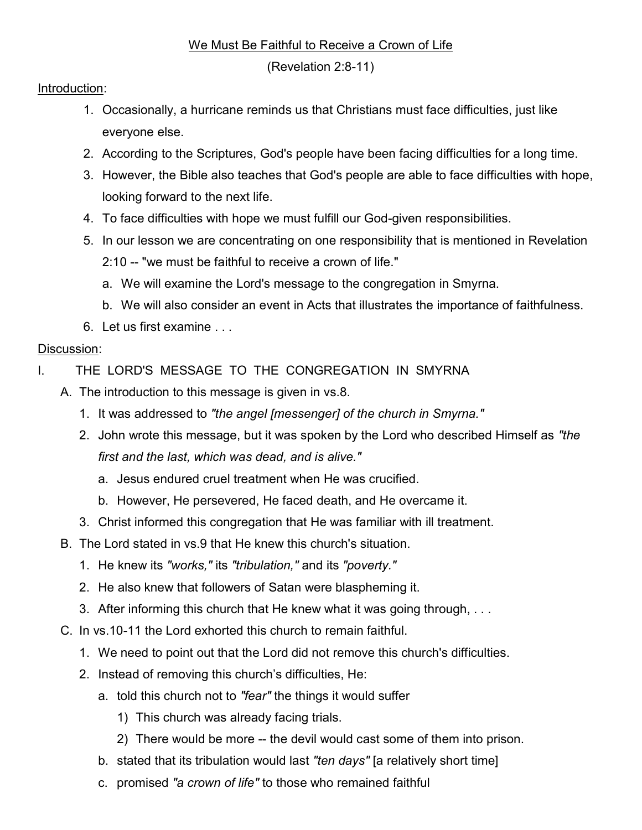## We Must Be Faithful to Receive a Crown of Life

(Revelation 2:8-11)

## Introduction:

- 1. Occasionally, a hurricane reminds us that Christians must face difficulties, just like everyone else.
- 2. According to the Scriptures, God's people have been facing difficulties for a long time.
- 3. However, the Bible also teaches that God's people are able to face difficulties with hope, looking forward to the next life.
- 4. To face difficulties with hope we must fulfill our God-given responsibilities.
- 5. In our lesson we are concentrating on one responsibility that is mentioned in Revelation 2:10 -- "we must be faithful to receive a crown of life."
	- a. We will examine the Lord's message to the congregation in Smyrna.
	- b. We will also consider an event in Acts that illustrates the importance of faithfulness.
- 6. Let us first examine . . .

## Discussion:

- I. THE LORD'S MESSAGE TO THE CONGREGATION IN SMYRNA
	- A. The introduction to this message is given in vs.8.
		- 1. It was addressed to "the angel [messenger] of the church in Smyrna."
		- 2. John wrote this message, but it was spoken by the Lord who described Himself as "the first and the last, which was dead, and is alive."
			- a. Jesus endured cruel treatment when He was crucified.
			- b. However, He persevered, He faced death, and He overcame it.
		- 3. Christ informed this congregation that He was familiar with ill treatment.
	- B. The Lord stated in vs.9 that He knew this church's situation.
		- 1. He knew its "works," its "tribulation," and its "poverty."
		- 2. He also knew that followers of Satan were blaspheming it.
		- 3. After informing this church that He knew what it was going through, . . .
	- C. In vs.10-11 the Lord exhorted this church to remain faithful.
		- 1. We need to point out that the Lord did not remove this church's difficulties.
		- 2. Instead of removing this church's difficulties, He:
			- a. told this church not to "fear" the things it would suffer
				- 1) This church was already facing trials.
				- 2) There would be more -- the devil would cast some of them into prison.
			- b. stated that its tribulation would last "ten days" [a relatively short time]
			- c. promised "a crown of life" to those who remained faithful